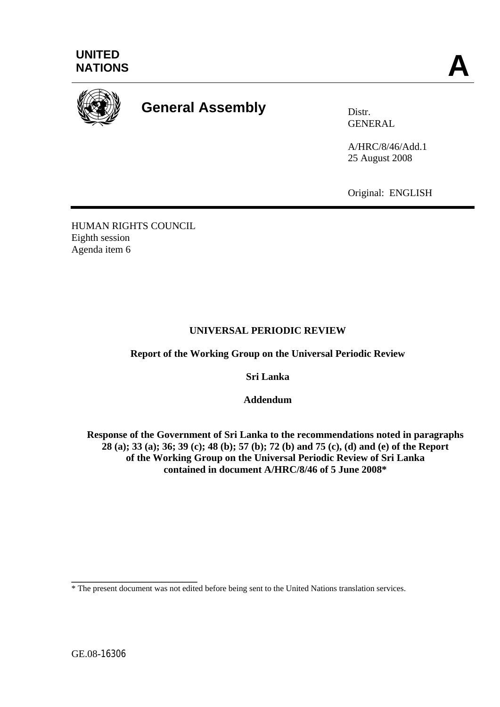



# **General Assembly Distrally** Distr.

GENERAL

A/HRC/8/46/Add.1 25 August 2008

Original: ENGLISH

HUMAN RIGHTS COUNCIL Eighth session Agenda item 6

## **UNIVERSAL PERIODIC REVIEW**

**Report of the Working Group on the Universal Periodic Review** 

**Sri Lanka** 

**Addendum** 

**Response of the Government of Sri Lanka to the recommendations noted in paragraphs 28 (a); 33 (a); 36; 39 (c); 48 (b); 57 (b); 72 (b) and 75 (c), (d) and (e) of the Report of the Working Group on the Universal Periodic Review of Sri Lanka contained in document A/HRC/8/46 of 5 June 2008\*** 

**\_\_\_\_\_\_\_\_\_\_\_\_\_\_\_\_\_\_\_\_\_\_\_\_\_** 

<sup>\*</sup> The present document was not edited before being sent to the United Nations translation services.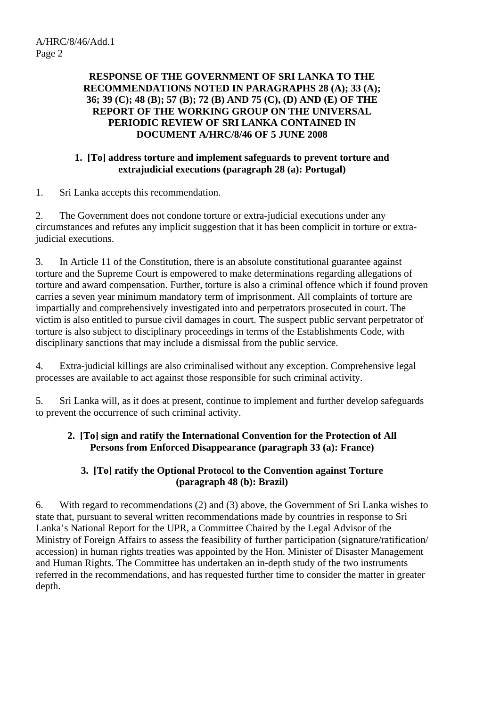#### **RESPONSE OF THE GOVERNMENT OF SRI LANKA TO THE RECOMMENDATIONS NOTED IN PARAGRAPHS 28 (A); 33 (A); 36; 39 (C); 48 (B); 57 (B); 72 (B) AND 75 (C), (D) AND (E) OF THE REPORT OF THE WORKING GROUP ON THE UNIVERSAL PERIODIC REVIEW OF SRI LANKA CONTAINED IN DOCUMENT A/HRC/8/46 OF 5 JUNE 2008**

#### **1. [To] address torture and implement safeguards to prevent torture and extrajudicial executions (paragraph 28 (a): Portugal)**

1. Sri Lanka accepts this recommendation.

2. The Government does not condone torture or extra-judicial executions under any circumstances and refutes any implicit suggestion that it has been complicit in torture or extrajudicial executions.

3. In Article 11 of the Constitution, there is an absolute constitutional guarantee against torture and the Supreme Court is empowered to make determinations regarding allegations of torture and award compensation. Further, torture is also a criminal offence which if found proven carries a seven year minimum mandatory term of imprisonment. All complaints of torture are impartially and comprehensively investigated into and perpetrators prosecuted in court. The victim is also entitled to pursue civil damages in court. The suspect public servant perpetrator of torture is also subject to disciplinary proceedings in terms of the Establishments Code, with disciplinary sanctions that may include a dismissal from the public service.

4. Extra-judicial killings are also criminalised without any exception. Comprehensive legal processes are available to act against those responsible for such criminal activity.

5. Sri Lanka will, as it does at present, continue to implement and further develop safeguards to prevent the occurrence of such criminal activity.

### **2. [To] sign and ratify the International Convention for the Protection of All Persons from Enforced Disappearance (paragraph 33 (a): France)**

### **3. [To] ratify the Optional Protocol to the Convention against Torture (paragraph 48 (b): Brazil)**

6. With regard to recommendations (2) and (3) above, the Government of Sri Lanka wishes to state that, pursuant to several written recommendations made by countries in response to Sri Lanka's National Report for the UPR, a Committee Chaired by the Legal Advisor of the Ministry of Foreign Affairs to assess the feasibility of further participation (signature/ratification/ accession) in human rights treaties was appointed by the Hon. Minister of Disaster Management and Human Rights. The Committee has undertaken an in-depth study of the two instruments referred in the recommendations, and has requested further time to consider the matter in greater depth.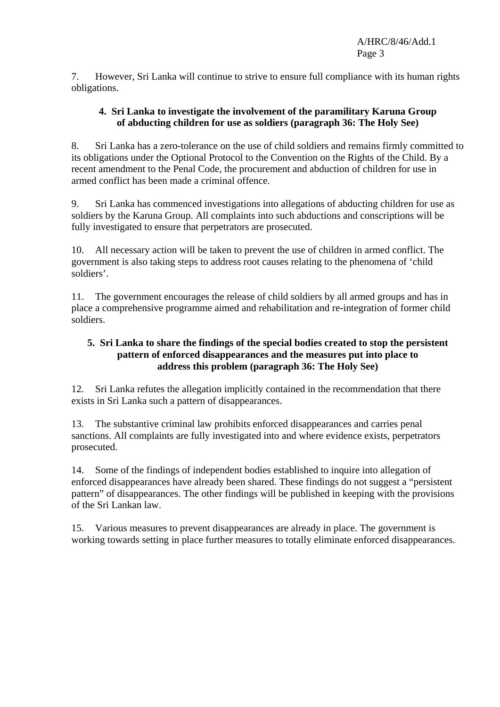7. However, Sri Lanka will continue to strive to ensure full compliance with its human rights obligations.

#### **4. Sri Lanka to investigate the involvement of the paramilitary Karuna Group of abducting children for use as soldiers (paragraph 36: The Holy See)**

8. Sri Lanka has a zero-tolerance on the use of child soldiers and remains firmly committed to its obligations under the Optional Protocol to the Convention on the Rights of the Child. By a recent amendment to the Penal Code, the procurement and abduction of children for use in armed conflict has been made a criminal offence.

9. Sri Lanka has commenced investigations into allegations of abducting children for use as soldiers by the Karuna Group. All complaints into such abductions and conscriptions will be fully investigated to ensure that perpetrators are prosecuted.

10. All necessary action will be taken to prevent the use of children in armed conflict. The government is also taking steps to address root causes relating to the phenomena of 'child soldiers'.

11. The government encourages the release of child soldiers by all armed groups and has in place a comprehensive programme aimed and rehabilitation and re-integration of former child soldiers.

### **5. Sri Lanka to share the findings of the special bodies created to stop the persistent pattern of enforced disappearances and the measures put into place to address this problem (paragraph 36: The Holy See)**

12. Sri Lanka refutes the allegation implicitly contained in the recommendation that there exists in Sri Lanka such a pattern of disappearances.

13. The substantive criminal law prohibits enforced disappearances and carries penal sanctions. All complaints are fully investigated into and where evidence exists, perpetrators prosecuted.

14. Some of the findings of independent bodies established to inquire into allegation of enforced disappearances have already been shared. These findings do not suggest a "persistent pattern" of disappearances. The other findings will be published in keeping with the provisions of the Sri Lankan law.

15. Various measures to prevent disappearances are already in place. The government is working towards setting in place further measures to totally eliminate enforced disappearances.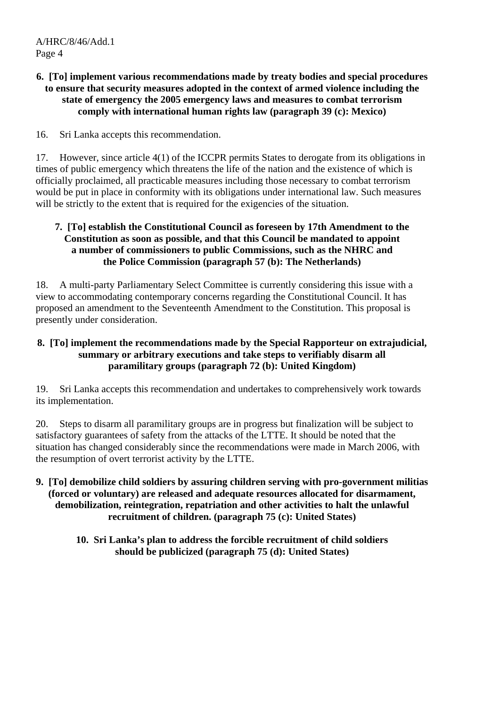#### **6. [To] implement various recommendations made by treaty bodies and special procedures to ensure that security measures adopted in the context of armed violence including the state of emergency the 2005 emergency laws and measures to combat terrorism comply with international human rights law (paragraph 39 (c): Mexico)**

16. Sri Lanka accepts this recommendation.

17. However, since article 4(1) of the ICCPR permits States to derogate from its obligations in times of public emergency which threatens the life of the nation and the existence of which is officially proclaimed, all practicable measures including those necessary to combat terrorism would be put in place in conformity with its obligations under international law. Such measures will be strictly to the extent that is required for the exigencies of the situation.

#### **7. [To] establish the Constitutional Council as foreseen by 17th Amendment to the Constitution as soon as possible, and that this Council be mandated to appoint a number of commissioners to public Commissions, such as the NHRC and the Police Commission (paragraph 57 (b): The Netherlands)**

18. A multi-party Parliamentary Select Committee is currently considering this issue with a view to accommodating contemporary concerns regarding the Constitutional Council. It has proposed an amendment to the Seventeenth Amendment to the Constitution. This proposal is presently under consideration.

### **8. [To] implement the recommendations made by the Special Rapporteur on extrajudicial, summary or arbitrary executions and take steps to verifiably disarm all paramilitary groups (paragraph 72 (b): United Kingdom)**

19. Sri Lanka accepts this recommendation and undertakes to comprehensively work towards its implementation.

20. Steps to disarm all paramilitary groups are in progress but finalization will be subject to satisfactory guarantees of safety from the attacks of the LTTE. It should be noted that the situation has changed considerably since the recommendations were made in March 2006, with the resumption of overt terrorist activity by the LTTE.

- **9. [To] demobilize child soldiers by assuring children serving with pro-government militias (forced or voluntary) are released and adequate resources allocated for disarmament, demobilization, reintegration, repatriation and other activities to halt the unlawful recruitment of children. (paragraph 75 (c): United States)** 
	- **10. Sri Lanka's plan to address the forcible recruitment of child soldiers should be publicized (paragraph 75 (d): United States)**